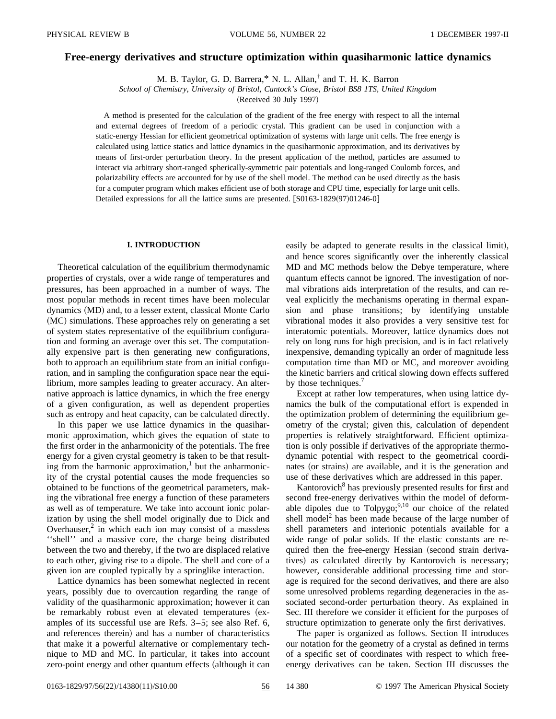# **Free-energy derivatives and structure optimization within quasiharmonic lattice dynamics**

M. B. Taylor, G. D. Barrera,\* N. L. Allan,† and T. H. K. Barron

*School of Chemistry, University of Bristol, Cantock's Close, Bristol BS8 1TS, United Kingdom*

(Received 30 July 1997)

A method is presented for the calculation of the gradient of the free energy with respect to all the internal and external degrees of freedom of a periodic crystal. This gradient can be used in conjunction with a static-energy Hessian for efficient geometrical optimization of systems with large unit cells. The free energy is calculated using lattice statics and lattice dynamics in the quasiharmonic approximation, and its derivatives by means of first-order perturbation theory. In the present application of the method, particles are assumed to interact via arbitrary short-ranged spherically-symmetric pair potentials and long-ranged Coulomb forces, and polarizability effects are accounted for by use of the shell model. The method can be used directly as the basis for a computer program which makes efficient use of both storage and CPU time, especially for large unit cells. Detailed expressions for all the lattice sums are presented.  $[$ S0163-1829(97)01246-0 $]$ 

## **I. INTRODUCTION**

Theoretical calculation of the equilibrium thermodynamic properties of crystals, over a wide range of temperatures and pressures, has been approached in a number of ways. The most popular methods in recent times have been molecular dynamics (MD) and, to a lesser extent, classical Monte Carlo  $(MC)$  simulations. These approaches rely on generating a set of system states representative of the equilibrium configuration and forming an average over this set. The computationally expensive part is then generating new configurations, both to approach an equilibrium state from an initial configuration, and in sampling the configuration space near the equilibrium, more samples leading to greater accuracy. An alternative approach is lattice dynamics, in which the free energy of a given configuration, as well as dependent properties such as entropy and heat capacity, can be calculated directly.

In this paper we use lattice dynamics in the quasiharmonic approximation, which gives the equation of state to the first order in the anharmonicity of the potentials. The free energy for a given crystal geometry is taken to be that resulting from the harmonic approximation, $\frac{1}{x}$  but the anharmonicity of the crystal potential causes the mode frequencies so obtained to be functions of the geometrical parameters, making the vibrational free energy a function of these parameters as well as of temperature. We take into account ionic polarization by using the shell model originally due to Dick and Overhauser, $2$  in which each ion may consist of a massless ''shell'' and a massive core, the charge being distributed between the two and thereby, if the two are displaced relative to each other, giving rise to a dipole. The shell and core of a given ion are coupled typically by a springlike interaction.

Lattice dynamics has been somewhat neglected in recent years, possibly due to overcaution regarding the range of validity of the quasiharmonic approximation; however it can be remarkably robust even at elevated temperatures (examples of its successful use are Refs. 3–5; see also Ref. 6, and references therein) and has a number of characteristics that make it a powerful alternative or complementary technique to MD and MC. In particular, it takes into account zero-point energy and other quantum effects (although it can easily be adapted to generate results in the classical limit), and hence scores significantly over the inherently classical MD and MC methods below the Debye temperature, where quantum effects cannot be ignored. The investigation of normal vibrations aids interpretation of the results, and can reveal explicitly the mechanisms operating in thermal expansion and phase transitions; by identifying unstable vibrational modes it also provides a very sensitive test for interatomic potentials. Moreover, lattice dynamics does not rely on long runs for high precision, and is in fact relatively inexpensive, demanding typically an order of magnitude less computation time than MD or MC, and moreover avoiding the kinetic barriers and critical slowing down effects suffered by those techniques.<sup>7</sup>

Except at rather low temperatures, when using lattice dynamics the bulk of the computational effort is expended in the optimization problem of determining the equilibrium geometry of the crystal; given this, calculation of dependent properties is relatively straightforward. Efficient optimization is only possible if derivatives of the appropriate thermodynamic potential with respect to the geometrical coordinates (or strains) are available, and it is the generation and use of these derivatives which are addressed in this paper.

Kantorovich<sup>8</sup> has previously presented results for first and second free-energy derivatives within the model of deformable dipoles due to Tolpygo; $9,10$  our choice of the related shell model<sup>2</sup> has been made because of the large number of shell parameters and interionic potentials available for a wide range of polar solids. If the elastic constants are required then the free-energy Hessian (second strain derivatives) as calculated directly by Kantorovich is necessary; however, considerable additional processing time and storage is required for the second derivatives, and there are also some unresolved problems regarding degeneracies in the associated second-order perturbation theory. As explained in Sec. III therefore we consider it efficient for the purposes of structure optimization to generate only the first derivatives.

The paper is organized as follows. Section II introduces our notation for the geometry of a crystal as defined in terms of a specific set of coordinates with respect to which freeenergy derivatives can be taken. Section III discusses the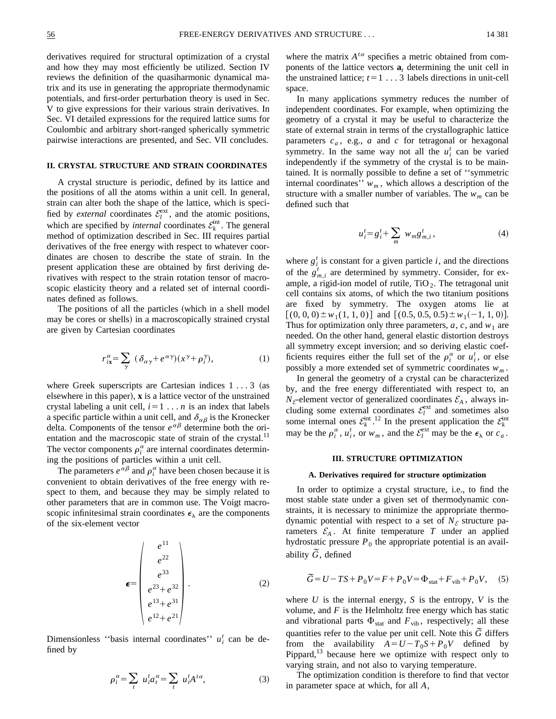derivatives required for structural optimization of a crystal and how they may most efficiently be utilized. Section IV reviews the definition of the quasiharmonic dynamical matrix and its use in generating the appropriate thermodynamic potentials, and first-order perturbation theory is used in Sec. V to give expressions for their various strain derivatives. In Sec. VI detailed expressions for the required lattice sums for Coulombic and arbitrary short-ranged spherically symmetric pairwise interactions are presented, and Sec. VII concludes.

# **II. CRYSTAL STRUCTURE AND STRAIN COORDINATES**

A crystal structure is periodic, defined by its lattice and the positions of all the atoms within a unit cell. In general, strain can alter both the shape of the lattice, which is specified by *external* coordinates  $\mathcal{E}_l^{\text{ext}}$ , and the atomic positions, which are specified by *internal* coordinates  $\mathcal{E}_k^{\text{int}}$ . The general method of optimization described in Sec. III requires partial derivatives of the free energy with respect to whatever coordinates are chosen to describe the state of strain. In the present application these are obtained by first deriving derivatives with respect to the strain rotation tensor of macroscopic elasticity theory and a related set of internal coordinates defined as follows.

The positions of all the particles (which in a shell model may be cores or shells) in a macroscopically strained crystal are given by Cartesian coordinates

$$
r_{ix}^{\alpha} = \sum_{\gamma} (\delta_{\alpha\gamma} + e^{\alpha\gamma})(x^{\gamma} + \rho_i^{\gamma}), \qquad (1)
$$

where Greek superscripts are Cartesian indices  $1 \ldots 3$  (as elsewhere in this paper),  $\bf{x}$  is a lattice vector of the unstrained crystal labeling a unit cell,  $i=1...n$  is an index that labels a specific particle within a unit cell, and  $\delta_{\alpha\beta}$  is the Kronecker delta. Components of the tensor  $e^{\alpha\beta}$  determine both the orientation and the macroscopic state of strain of the crystal.<sup>11</sup> The vector components  $\rho_i^{\alpha}$  are internal coordinates determining the positions of particles within a unit cell.

The parameters  $e^{\alpha \beta}$  and  $\rho_i^{\alpha}$  have been chosen because it is convenient to obtain derivatives of the free energy with respect to them, and because they may be simply related to other parameters that are in common use. The Voigt macroscopic infinitesimal strain coordinates  $\epsilon_{\lambda}$  are the components of the six-element vector

$$
\epsilon = \begin{pmatrix} e^{11} \\ e^{22} \\ e^{33} \\ e^{23} + e^{32} \\ e^{13} + e^{31} \\ e^{12} + e^{21} \end{pmatrix} .
$$
 (2)

Dimensionless "basis internal coordinates"  $u_i^t$  can be defined by

$$
\rho_i^{\alpha} = \sum_t u_i^t a_i^{\alpha} = \sum_t u_i^t A^{t\alpha},\tag{3}
$$

where the matrix  $A^{t\alpha}$  specifies a metric obtained from components of the lattice vectors  $a_t$  determining the unit cell in the unstrained lattice;  $t=1...3$  labels directions in unit-cell space.

In many applications symmetry reduces the number of independent coordinates. For example, when optimizing the geometry of a crystal it may be useful to characterize the state of external strain in terms of the crystallographic lattice parameters *ca* , e.g., *a* and *c* for tetragonal or hexagonal symmetry. In the same way not all the  $u_i^t$  can be varied independently if the symmetry of the crystal is to be maintained. It is normally possible to define a set of ''symmetric internal coordinates''  $w_m$ , which allows a description of the structure with a smaller number of variables. The  $w_m$  can be defined such that

$$
u_i^t = g_i^t + \sum_m w_m g_{m,i}^t, \qquad (4)
$$

where  $g_i^t$  is constant for a given particle *i*, and the directions of the  $g_{m,i}^t$  are determined by symmetry. Consider, for example, a rigid-ion model of rutile,  $TiO<sub>2</sub>$ . The tetragonal unit cell contains six atoms, of which the two titanium positions are fixed by symmetry. The oxygen atoms lie at  $[(0, 0, 0) \pm w_1(1, 1, 0)]$  and  $[(0.5, 0.5, 0.5) \pm w_1(-1, 1, 0)].$ Thus for optimization only three parameters,  $a, c$ , and  $w_1$  are needed. On the other hand, general elastic distortion destroys all symmetry except inversion; and so deriving elastic coefficients requires either the full set of the  $\rho_i^{\alpha}$  or  $u_i^t$ , or else possibly a more extended set of symmetric coordinates  $w_m$ .

In general the geometry of a crystal can be characterized by, and the free energy differentiated with respect to, an  $N_{\mathcal{E}}$ -element vector of generalized coordinates  $\mathcal{E}_A$ , always including some external coordinates  $\mathcal{E}_l^{\text{ext}}$  and sometimes also some internal ones  $\mathcal{E}_k^{\text{int}}$ .<sup>12</sup> In the present application the  $\mathcal{E}_k^{\text{int}}$ may be the  $\rho_i^{\alpha}$ ,  $u_i^t$ , or  $w_m$ , and the  $\mathcal{E}_l^{\text{ext}}$  may be the  $\epsilon_{\lambda}$  or  $c_a$ .

# **III. STRUCTURE OPTIMIZATION**

### **A. Derivatives required for structure optimization**

In order to optimize a crystal structure, i.e., to find the most stable state under a given set of thermodynamic constraints, it is necessary to minimize the appropriate thermodynamic potential with respect to a set of  $N_{\mathcal{E}}$  structure parameters  $\mathcal{E}_A$ . At finite temperature *T* under an applied hydrostatic pressure  $P_0$  the appropriate potential is an availability  $\tilde{G}$ , defined

$$
\widetilde{G} = U - TS + P_0 V = F + P_0 V = \Phi_{\text{stat}} + F_{\text{vib}} + P_0 V, \quad (5)
$$

where *U* is the internal energy, *S* is the entropy, *V* is the volume, and  $F$  is the Helmholtz free energy which has static and vibrational parts  $\Phi_{stat}$  and  $F_{vib}$ , respectively; all these quantities refer to the value per unit cell. Note this  $\tilde{G}$  differs from the availability  $A = U - T_0 S + P_0 V$  defined by Pippard, $13$  because here we optimize with respect only to varying strain, and not also to varying temperature.

The optimization condition is therefore to find that vector in parameter space at which, for all *A*,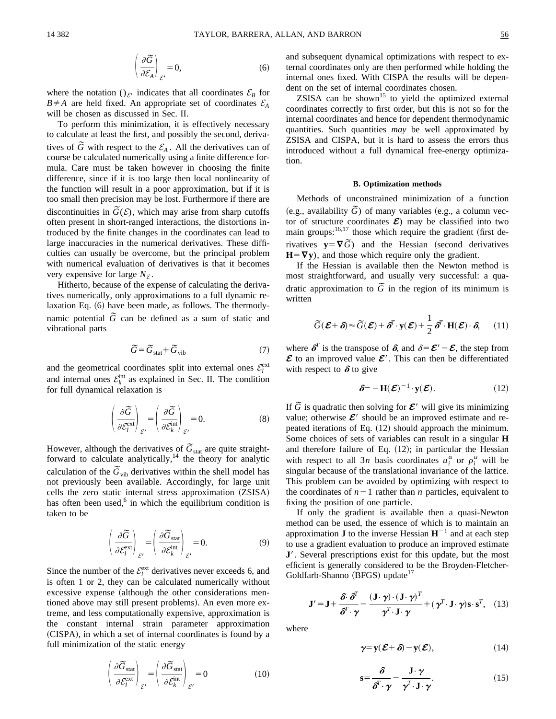$$
\left(\frac{\partial \widetilde{G}}{\partial \mathcal{E}_A}\right)_{\mathcal{E}'} = 0,\tag{6}
$$

where the notation () $_{\mathcal{E}}$ <sup>*i*</sup> indicates that all coordinates  $\mathcal{E}_B$  for  $B \neq A$  are held fixed. An appropriate set of coordinates  $\mathcal{E}_A$ will be chosen as discussed in Sec. II.

To perform this minimization, it is effectively necessary to calculate at least the first, and possibly the second, derivatives of  $\tilde{G}$  with respect to the  $\mathcal{E}_A$ . All the derivatives can of course be calculated numerically using a finite difference formula. Care must be taken however in choosing the finite difference, since if it is too large then local nonlinearity of the function will result in a poor approximation, but if it is too small then precision may be lost. Furthermore if there are discontinuities in  $\tilde{G}(\mathcal{E})$ , which may arise from sharp cutoffs often present in short-ranged interactions, the distortions introduced by the finite changes in the coordinates can lead to large inaccuracies in the numerical derivatives. These difficulties can usually be overcome, but the principal problem with numerical evaluation of derivatives is that it becomes very expensive for large  $N_{\mathcal{E}}$ .

Hitherto, because of the expense of calculating the derivatives numerically, only approximations to a full dynamic relaxation Eq.  $(6)$  have been made, as follows. The thermodynamic potential  $\tilde{G}$  can be defined as a sum of static and vibrational parts

$$
\widetilde{G} = \widetilde{G}_{\text{stat}} + \widetilde{G}_{\text{vib}} \tag{7}
$$

and the geometrical coordinates split into external ones  $\mathcal{E}_l^{\text{ext}}$ and internal ones  $\mathcal{E}_k^{\text{int}}$  as explained in Sec. II. The condition for full dynamical relaxation is

$$
\left(\frac{\partial \widetilde{G}}{\partial \mathcal{E}_l^{\text{ext}}}\right)_{\mathcal{E}'} = \left(\frac{\partial \widetilde{G}}{\partial \mathcal{E}_k^{\text{int}}}\right)_{\mathcal{E}'} = 0.
$$
\n(8)

However, although the derivatives of  $\tilde{G}_{stat}$  are quite straightforward to calculate analytically, $14$  the theory for analytic calculation of the  $\tilde{G}_{vib}$  derivatives within the shell model has not previously been available. Accordingly, for large unit cells the zero static internal stress approximation (ZSISA) has often been used, $6$  in which the equilibrium condition is taken to be

$$
\left(\frac{\partial \widetilde{G}}{\partial \mathcal{E}_l^{\text{ext}}}\right)_{\mathcal{E}'} = \left(\frac{\partial \widetilde{G}_{\text{stat}}}{\partial \mathcal{E}_k^{\text{int}}}\right)_{\mathcal{E}'} = 0.
$$
\n(9)

Since the number of the  $\mathcal{E}_l^{\text{ext}}$  derivatives never exceeds 6, and is often 1 or 2, they can be calculated numerically without excessive expense (although the other considerations mentioned above may still present problems). An even more extreme, and less computationally expensive, approximation is the constant internal strain parameter approximation (CISPA), in which a set of internal coordinates is found by a full minimization of the static energy

$$
\left(\frac{\partial \widetilde{G}_{\text{stat}}}{\partial \mathcal{E}_l^{\text{ext}}}\right)_{\mathcal{E}'} = \left(\frac{\partial \widetilde{G}_{\text{stat}}}{\partial \mathcal{E}_k^{\text{int}}}\right)_{\mathcal{E}'} = 0 \tag{10}
$$

and subsequent dynamical optimizations with respect to external coordinates only are then performed while holding the internal ones fixed. With CISPA the results will be dependent on the set of internal coordinates chosen.

ZSISA can be shown<sup>15</sup> to yield the optimized external coordinates correctly to first order, but this is not so for the internal coordinates and hence for dependent thermodynamic quantities. Such quantities *may* be well approximated by ZSISA and CISPA, but it is hard to assess the errors thus introduced without a full dynamical free-energy optimization.

### **B. Optimization methods**

Methods of unconstrained minimization of a function (e.g., availability  $\tilde{G}$ ) of many variables (e.g., a column vector of structure coordinates  $\mathcal{E}$ ) may be classified into two main groups: $16,17$  those which require the gradient (first derivatives  $y = \nabla \tilde{G}$  and the Hessian (second derivatives  $H = \nabla y$ , and those which require only the gradient.

If the Hessian is available then the Newton method is most straightforward, and usually very successful: a quadratic approximation to  $\tilde{G}$  in the region of its minimum is written

$$
\widetilde{G}(\boldsymbol{\mathcal{E}}+\boldsymbol{\delta}) \approx \widetilde{G}(\boldsymbol{\mathcal{E}})+\boldsymbol{\delta}^T \cdot \mathbf{y}(\boldsymbol{\mathcal{E}})+\frac{1}{2}\boldsymbol{\delta}^T \cdot \mathbf{H}(\boldsymbol{\mathcal{E}})\cdot \boldsymbol{\delta},\qquad(11)
$$

where  $\delta^T$  is the transpose of  $\delta$ , and  $\delta = \mathcal{E}' - \mathcal{E}$ , the step from  $\mathcal{E}$  to an improved value  $\mathcal{E}'$ . This can then be differentiated with respect to  $\delta$  to give

$$
\delta = -\mathbf{H}(\boldsymbol{\mathcal{E}})^{-1} \cdot \mathbf{y}(\boldsymbol{\mathcal{E}}).
$$
 (12)

If  $\tilde{G}$  is quadratic then solving for  $\mathcal{E}'$  will give its minimizing value; otherwise  $\mathcal{E}'$  should be an improved estimate and repeated iterations of Eq.  $(12)$  should approach the minimum. Some choices of sets of variables can result in a singular **H** and therefore failure of Eq.  $(12)$ ; in particular the Hessian with respect to all 3*n* basis coordinates  $u_i^{\alpha}$  or  $\rho_i^{\alpha}$  will be singular because of the translational invariance of the lattice. This problem can be avoided by optimizing with respect to the coordinates of  $n-1$  rather than *n* particles, equivalent to fixing the position of one particle.

If only the gradient is available then a quasi-Newton method can be used, the essence of which is to maintain an approximation **J** to the inverse Hessian  $H^{-1}$  and at each step to use a gradient evaluation to produce an improved estimate **J'**. Several prescriptions exist for this update, but the most efficient is generally considered to be the Broyden-Fletcher- $Goldfarb-Shanno (BFGS) update<sup>17</sup>$ 

$$
\mathbf{J}' = \mathbf{J} + \frac{\delta \cdot \delta^T}{\delta^T \cdot \gamma} - \frac{(\mathbf{J} \cdot \gamma) \cdot (\mathbf{J} \cdot \gamma)^T}{\gamma^T \cdot \mathbf{J} \cdot \gamma} + (\gamma^T \cdot \mathbf{J} \cdot \gamma) \mathbf{s} \cdot \mathbf{s}^T, \quad (13)
$$

where

$$
\gamma = \mathbf{y}(\boldsymbol{\mathcal{E}} + \boldsymbol{\delta}) - \mathbf{y}(\boldsymbol{\mathcal{E}}),\tag{14}
$$

$$
\mathbf{s} = \frac{\delta}{\delta^T \cdot \boldsymbol{\gamma}} - \frac{\mathbf{J} \cdot \boldsymbol{\gamma}}{\boldsymbol{\gamma}^T \cdot \mathbf{J} \cdot \boldsymbol{\gamma}}.
$$
 (15)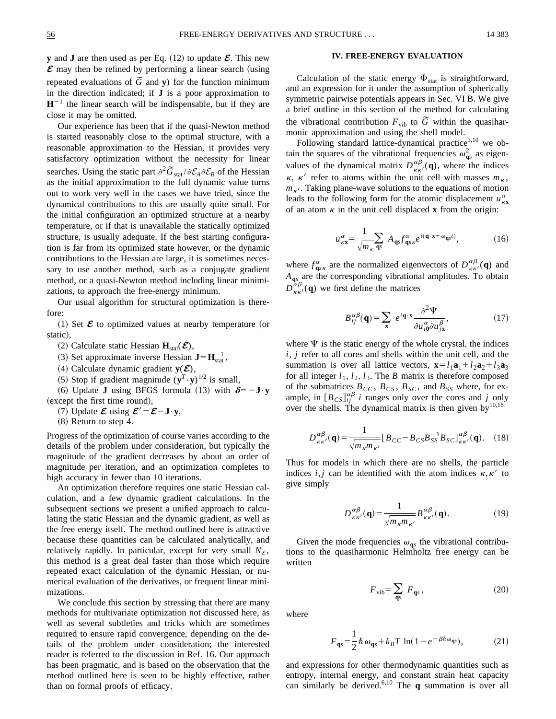**y** and **J** are then used as per Eq.  $(12)$  to update  $\mathcal{E}$ . This new  $\mathcal E$  may then be refined by performing a linear search (using repeated evaluations of  $\tilde{G}$  and **y**) for the function minimum in the direction indicated; if **J** is a poor approximation to  $H^{-1}$  the linear search will be indispensable, but if they are close it may be omitted.

Our experience has been that if the quasi-Newton method is started reasonably close to the optimal structure, with a reasonable approximation to the Hessian, it provides very satisfactory optimization without the necessity for linear searches. Using the static part  $\partial^2 \tilde{G}_{stat}/\partial \mathcal{E}_A \partial \mathcal{E}_B$  of the Hessian as the initial approximation to the full dynamic value turns out to work very well in the cases we have tried, since the dynamical contributions to this are usually quite small. For the initial configuration an optimized structure at a nearby temperature, or if that is unavailable the statically optimized structure, is usually adequate. If the best starting configuration is far from its optimized state however, or the dynamic contributions to the Hessian are large, it is sometimes necessary to use another method, such as a conjugate gradient method, or a quasi-Newton method including linear minimizations, to approach the free-energy minimum.

Our usual algorithm for structural optimization is therefore:

 $(1)$  Set  $\mathcal E$  to optimized values at nearby temperature (or static),

- $(2)$  Calculate static Hessian  $\mathbf{H}_{stat}(\mathcal{E})$ ,
- (3) Set approximate inverse Hessian  $\mathbf{J} = \mathbf{H}_{stat}^{-1}$ ,
- (4) Calculate dynamic gradient  $y(\mathcal{E})$ ,
- (5) Stop if gradient magnitude  $(y^T \cdot y)^{1/2}$  is small,

(6) Update **J** using BFGS formula (13) with  $\delta = -J \cdot y$ (except the first time round),

- (7) Update  $\mathcal{E}$  using  $\mathcal{E}' = \mathcal{E} \mathbf{J} \cdot \mathbf{y}$ ,
- $(8)$  Return to step 4.

Progress of the optimization of course varies according to the details of the problem under consideration, but typically the magnitude of the gradient decreases by about an order of magnitude per iteration, and an optimization completes to high accuracy in fewer than 10 iterations.

An optimization therefore requires one static Hessian calculation, and a few dynamic gradient calculations. In the subsequent sections we present a unified approach to calculating the static Hessian and the dynamic gradient, as well as the free energy itself. The method outlined here is attractive because these quantities can be calculated analytically, and relatively rapidly. In particular, except for very small  $N<sub>F</sub>$ , this method is a great deal faster than those which require repeated exact calculation of the dynamic Hessian, or numerical evaluation of the derivatives, or frequent linear minimizations.

We conclude this section by stressing that there are many methods for multivariate optimization not discussed here, as well as several subtleties and tricks which are sometimes required to ensure rapid convergence, depending on the details of the problem under consideration; the interested reader is referred to the discussion in Ref. 16. Our approach has been pragmatic, and is based on the observation that the method outlined here is seen to be highly effective, rather than on formal proofs of efficacy.

## **IV. FREE-ENERGY EVALUATION**

Calculation of the static energy  $\Phi_{stat}$  is straightforward, and an expression for it under the assumption of spherically symmetric pairwise potentials appears in Sec. VI B. We give a brief outline in this section of the method for calculating the vibrational contribution  $F_{\text{vib}}$  to  $\tilde{G}$  within the quasiharmonic approximation and using the shell model.

Following standard lattice-dynamical practice $1,10$  we obtain the squares of the vibrational frequencies  $\omega_{\mathbf{q}s}^2$  as eigenvalues of the dynamical matrix  $D_{\kappa \kappa'}^{\alpha \beta}(\mathbf{q})$ , where the indices  $\kappa$ ,  $\kappa'$  refer to atoms within the unit cell with masses  $m_{\kappa}$ ,  $m_{\kappa'}$ . Taking plane-wave solutions to the equations of motion leads to the following form for the atomic displacement  $u_{\kappa x}^{\alpha}$ of an atom  $\kappa$  in the unit cell displaced **x** from the origin:

$$
\mu_{\kappa \mathbf{x}}^{\alpha} = \frac{1}{\sqrt{m_{\kappa}} \, \mathbf{q}_{s}} \, A_{\mathbf{q}_{s}} f_{\mathbf{q}_{s} \kappa}^{\alpha} e^{i(\mathbf{q} \cdot \mathbf{x} + \omega_{\mathbf{q}_{s}t})}, \tag{16}
$$

where  $f_{\mathbf{q} s\kappa}^{\alpha}$  are the normalized eigenvectors of  $D_{\kappa \kappa'}^{\alpha\beta}(\mathbf{q})$  and *A***q***<sup>s</sup>* are the corresponding vibrational amplitudes. To obtain  $D_{\kappa \kappa'}^{\alpha \beta}(\mathbf{q})$  we first define the matrices

$$
B_{ij}^{\alpha\beta}(\mathbf{q}) = \sum_{\mathbf{x}} e^{i\mathbf{q}\cdot\mathbf{x}} \frac{\partial^2 \Psi}{\partial u_{i\mathbf{0}}^{\alpha} \partial u_{j\mathbf{x}}^{\beta}},
$$
(17)

where  $\Psi$  is the static energy of the whole crystal, the indices *i*, *j* refer to all cores and shells within the unit cell, and the summation is over all lattice vectors,  $\mathbf{x} = l_1 \mathbf{a}_1 + l_2 \mathbf{a}_2 + l_3 \mathbf{a}_3$ for all integer  $l_1$ ,  $l_2$ ,  $l_3$ . The *B* matrix is therefore composed of the submatrices  $B_{CC}$ ,  $B_{CS}$ ,  $B_{SC}$ , and  $B_{SS}$  where, for example, in  $[B_{CS}]_{ij}^{\alpha\beta}$  *i* ranges only over the cores and *j* only over the shells. The dynamical matrix is then given by $10,18$ 

$$
D_{\kappa\kappa'}^{\alpha\beta}(\mathbf{q}) = \frac{1}{\sqrt{m_{\kappa}m_{\kappa'}}} [B_{CC} - B_{CS}B_{SS}^{-1}B_{SC}]_{\kappa\kappa'}^{\alpha\beta}(\mathbf{q}).
$$
 (18)

Thus for models in which there are no shells, the particle indices *i*, *j* can be identified with the atom indices  $\kappa$ ,  $\kappa'$  to give simply

$$
D_{\kappa\kappa'}^{\alpha\beta}(\mathbf{q}) = \frac{1}{\sqrt{m_{\kappa}m_{\kappa'}}} B_{\kappa\kappa'}^{\alpha\beta}(\mathbf{q}).
$$
 (19)

Given the mode frequencies  $\omega_{\mathbf{q}s}$  the vibrational contributions to the quasiharmonic Helmholtz free energy can be written

$$
F_{\rm vib} = \sum_{\mathbf{q}s} \ F_{\mathbf{q}s} \,, \tag{20}
$$

where

$$
F_{\mathbf{q}s} = \frac{1}{2}\hbar\,\omega_{\mathbf{q}s} + k_B T \ln(1 - e^{-\beta\hbar\,\omega_{\mathbf{q}s}}),\tag{21}
$$

and expressions for other thermodynamic quantities such as entropy, internal energy, and constant strain heat capacity can similarly be derived.6,10 The **q** summation is over all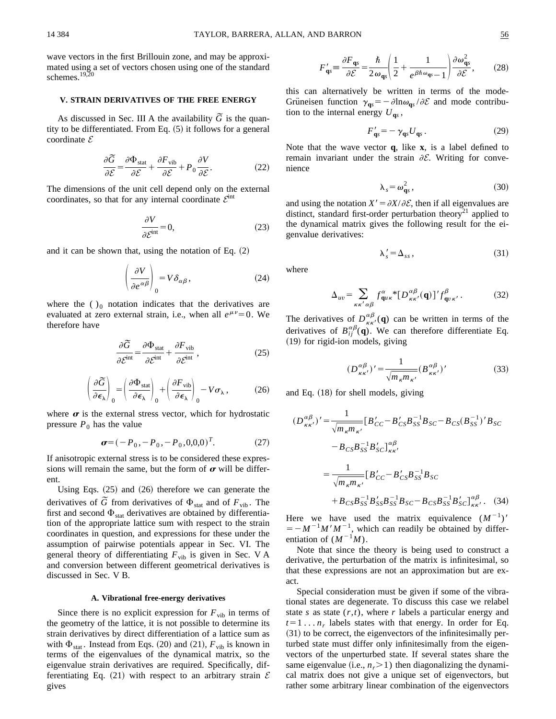wave vectors in the first Brillouin zone, and may be approximated using a set of vectors chosen using one of the standard schemes. $19,20$ 

### **V. STRAIN DERIVATIVES OF THE FREE ENERGY**

As discussed in Sec. III A the availability  $\tilde{G}$  is the quantity to be differentiated. From Eq.  $(5)$  it follows for a general coordinate *E*

$$
\frac{\partial \widetilde{G}}{\partial \mathcal{E}} = \frac{\partial \Phi_{\text{stat}}}{\partial \mathcal{E}} + \frac{\partial F_{\text{vib}}}{\partial \mathcal{E}} + P_0 \frac{\partial V}{\partial \mathcal{E}}.
$$
(22)

The dimensions of the unit cell depend only on the external coordinates, so that for any internal coordinate *<sup>E</sup>*int

$$
\frac{\partial V}{\partial \mathcal{E}^{\text{int}}} = 0,\tag{23}
$$

and it can be shown that, using the notation of Eq.  $(2)$ 

$$
\left(\frac{\partial V}{\partial e^{\alpha\beta}}\right)_0 = V \delta_{\alpha\beta},\tag{24}
$$

where the  $\left( \ \right)_0$  notation indicates that the derivatives are evaluated at zero external strain, i.e., when all  $e^{\mu\nu}=0$ . We therefore have

$$
\frac{\partial \widetilde{G}}{\partial \mathcal{E}^{\text{int}}} = \frac{\partial \Phi_{\text{stat}}}{\partial \mathcal{E}^{\text{int}}} + \frac{\partial F_{\text{vib}}}{\partial \mathcal{E}^{\text{int}}},\tag{25}
$$

$$
\left(\frac{\partial \widetilde{G}}{\partial \epsilon_{\lambda}}\right)_{0} = \left(\frac{\partial \Phi_{\text{stat}}}{\partial \epsilon_{\lambda}}\right)_{0} + \left(\frac{\partial F_{\text{vib}}}{\partial \epsilon_{\lambda}}\right)_{0} - V\sigma_{\lambda},\tag{26}
$$

where  $\sigma$  is the external stress vector, which for hydrostatic pressure  $P_0$  has the value

$$
\boldsymbol{\sigma} = (-P_0, -P_0, -P_0, 0, 0, 0)^T. \tag{27}
$$

If anisotropic external stress is to be considered these expressions will remain the same, but the form of  $\sigma$  will be different.

Using Eqs.  $(25)$  and  $(26)$  therefore we can generate the derivatives of  $\tilde{G}$  from derivatives of  $\Phi_{stat}$  and of  $F_{vib}$ . The first and second  $\Phi_{stat}$  derivatives are obtained by differentiation of the appropriate lattice sum with respect to the strain coordinates in question, and expressions for these under the assumption of pairwise potentials appear in Sec. VI. The general theory of differentiating  $F_{\text{vib}}$  is given in Sec. V A and conversion between different geometrical derivatives is discussed in Sec. V B.

#### **A. Vibrational free-energy derivatives**

Since there is no explicit expression for  $F_{\text{vib}}$  in terms of the geometry of the lattice, it is not possible to determine its strain derivatives by direct differentiation of a lattice sum as with  $\Phi_{\text{stat}}$ . Instead from Eqs. (20) and (21),  $F_{\text{vib}}$  is known in terms of the eigenvalues of the dynamical matrix, so the eigenvalue strain derivatives are required. Specifically, differentiating Eq.  $(21)$  with respect to an arbitrary strain  $\mathcal E$ gives

this can alternatively be written in terms of the mode-Grüneisen function  $\gamma_{\text{qs}} = -\frac{\partial \ln \omega_{\text{qs}}}{\partial \mathcal{E}}$  and mode contribution to the internal energy  $U_{\mathbf{q}_s}$ ,

$$
F'_{\mathbf{q}s} = -\gamma_{\mathbf{q}s} U_{\mathbf{q}s} \,. \tag{29}
$$

Note that the wave vector **q**, like **x**, is a label defined to remain invariant under the strain  $\partial \mathcal{E}$ . Writing for convenience

$$
\lambda_s = \omega_{\mathbf{q}s}^2, \qquad (30)
$$

and using the notation  $X' = \partial X / \partial \mathcal{E}$ , then if all eigenvalues are distinct, standard first-order perturbation theory<sup>21</sup> applied to the dynamical matrix gives the following result for the eigenvalue derivatives:

$$
\lambda'_s = \Delta_{ss},\tag{31}
$$

where

$$
\Delta_{uv} = \sum_{\kappa \kappa' \alpha \beta} f^{\alpha}_{\mathbf{q} u \kappa} \left[ D^{\alpha \beta}_{\kappa \kappa'}(\mathbf{q}) \right]' f^{\beta}_{\mathbf{q} v \kappa'}.
$$
 (32)

The derivatives of  $D_{\kappa\kappa'}^{\alpha\beta}(\mathbf{q})$  can be written in terms of the derivatives of  $B_{ij}^{\alpha\beta}(\mathbf{q})$ . We can therefore differentiate Eq. (19) for rigid-ion models, giving

$$
(D_{\kappa\kappa'}^{\alpha\beta})' = \frac{1}{\sqrt{m_{\kappa}m_{\kappa'}}}(B_{\kappa\kappa'}^{\alpha\beta})'
$$
(33)

and Eq.  $(18)$  for shell models, giving

$$
(D_{\kappa\kappa'}^{\alpha\beta})' = \frac{1}{\sqrt{m_{\kappa}m_{\kappa'}}} [B'_{CC} - B'_{CS}B_{SS}^{-1}B_{SC} - B_{CS}(B_{SS}^{-1})'B_{SC}
$$
  

$$
- B_{CS}B_{SS}^{-1}B'_{SC}]_{\kappa\kappa'}^{\alpha\beta}
$$
  

$$
= \frac{1}{\sqrt{m_{\kappa}m_{\kappa'}}} [B'_{CC} - B'_{CS}B_{SS}^{-1}B_{SC}
$$
  

$$
+ B_{CS}B_{SS}^{-1}B'_{SS}B_{SS}^{-1}B_{SC} - B_{CS}B_{SS}^{-1}B'_{SC}]_{\kappa\kappa'}^{\alpha\beta}.
$$
 (34)

Here we have used the matrix equivalence  $(M^{-1})'$  $=$   $-M^{-1}M'M^{-1}$ , which can readily be obtained by differentiation of  $(M^{-1}M)$ .

Note that since the theory is being used to construct a derivative, the perturbation of the matrix is infinitesimal, so that these expressions are not an approximation but are exact.

Special consideration must be given if some of the vibrational states are degenerate. To discuss this case we relabel state *s* as state  $(r, t)$ , where *r* labels a particular energy and  $t=1... n_r$  labels states with that energy. In order for Eq.  $(31)$  to be correct, the eigenvectors of the infinitesimally perturbed state must differ only infinitesimally from the eigenvectors of the unperturbed state. If several states share the same eigenvalue  $(i.e., n<sub>r</sub> > 1)$  then diagonalizing the dynamical matrix does not give a unique set of eigenvectors, but rather some arbitrary linear combination of the eigenvectors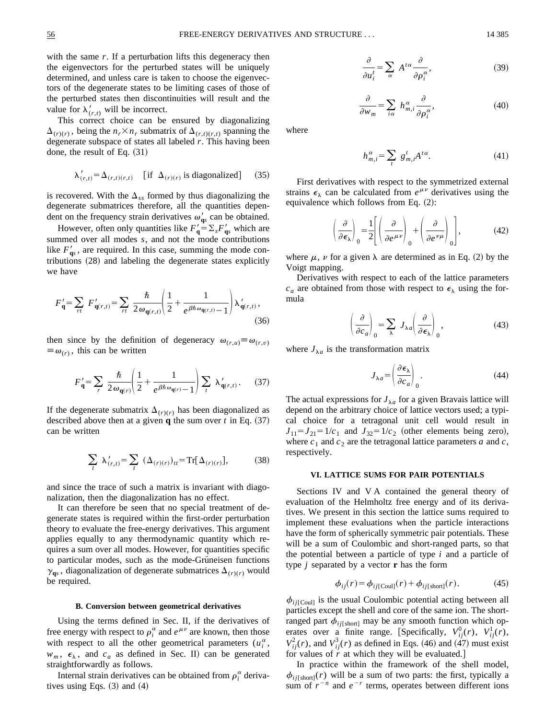with the same *r*. If a perturbation lifts this degeneracy then the eigenvectors for the perturbed states will be uniquely determined, and unless care is taken to choose the eigenvectors of the degenerate states to be limiting cases of those of the perturbed states then discontinuities will result and the value for  $\lambda'_{(r,t)}$  will be incorrect.

This correct choice can be ensured by diagonalizing  $\Delta_{(r)(r)}$ , being the  $n_r \times n_r$  submatrix of  $\Delta_{(r,t)(r,t)}$  spanning the degenerate subspace of states all labeled *r*. This having been done, the result of Eq.  $(31)$ 

$$
\lambda'_{(r,t)} = \Delta_{(r,t)(r,t)} \quad \text{[if } \Delta_{(r)(r)} \text{ is diagonalized]} \tag{35}
$$

is recovered. With the  $\Delta_{ss}$  formed by thus diagonalizing the degenerate submatrices therefore, all the quantities dependent on the frequency strain derivatives  $\omega_{\mathbf{q}s}$  can be obtained.

However, often only quantities like  $F'_{\mathbf{q}} = \sum_{s} F'_{\mathbf{q}s}$  which are summed over all modes *s*, and not the mode contributions like  $F'_{\alpha s}$ , are required. In this case, summing the mode contributions  $(28)$  and labeling the degenerate states explicitly we have

$$
F'_{\mathbf{q}} = \sum_{rt} F'_{\mathbf{q}(r,t)} = \sum_{rt} \frac{\hbar}{2 \omega_{\mathbf{q}(r,t)}} \left( \frac{1}{2} + \frac{1}{e^{\beta \hbar \omega_{\mathbf{q}(r,t)}} - 1} \right) \lambda'_{\mathbf{q}(r,t)},
$$
\n(36)

then since by the definition of degeneracy  $\omega_{(r,u)} \equiv \omega_{(r,v)}$  $\equiv \omega_{(r)}$ , this can be written

$$
F'_{\mathbf{q}} = \sum_{r} \frac{\hbar}{2 \omega_{\mathbf{q}(r)}} \left( \frac{1}{2} + \frac{1}{e^{\beta \hbar \omega_{\mathbf{q}(r)}} - 1} \right) \sum_{t} \lambda'_{\mathbf{q}(r,t)}.
$$
 (37)

If the degenerate submatrix  $\Delta_{(r)(r)}$  has been diagonalized as described above then at a given **q** the sum over  $t$  in Eq.  $(37)$ can be written

$$
\sum_{t} \lambda'_{(r,t)} = \sum_{t} (\Delta_{(r)(r)})_{tt} = \text{Tr}[\Delta_{(r)(r)}],
$$
 (38)

and since the trace of such a matrix is invariant with diagonalization, then the diagonalization has no effect.

It can therefore be seen that no special treatment of degenerate states is required within the first-order perturbation theory to evaluate the free-energy derivatives. This argument applies equally to any thermodynamic quantity which requires a sum over all modes. However, for quantities specific to particular modes, such as the mode-Grüneisen functions  $\gamma_{\mathbf{q}s}$ , diagonalization of degenerate submatrices  $\Delta_{(r)(r)}$  would be required.

#### **B. Conversion between geometrical derivatives**

Using the terms defined in Sec. II, if the derivatives of free energy with respect to  $\rho_i^{\alpha}$  and  $e^{\mu\nu}$  are known, then those with respect to all the other geometrical parameters  $(u_i^{\alpha},$  $w_m$ ,  $\epsilon_{\lambda}$ , and  $c_a$  as defined in Sec. II) can be generated straightforwardly as follows.

Internal strain derivatives can be obtained from  $\rho_i^{\alpha}$  derivatives using Eqs.  $(3)$  and  $(4)$ 

$$
\frac{\partial}{\partial u_i^t} = \sum_{\alpha} A^{t\alpha} \frac{\partial}{\partial \rho_i^{\alpha}},\tag{39}
$$

$$
\frac{\partial}{\partial w_m} = \sum_{i\alpha} h_{m,i}^{\alpha} \frac{\partial}{\partial \rho_i^{\alpha}},
$$
(40)

where

$$
h_{m,i}^{\alpha} = \sum_{t} g_{m,i}^{t} A^{t\alpha}.
$$
 (41)

First derivatives with respect to the symmetrized external strains  $\epsilon_{\lambda}$  can be calculated from  $e^{\mu\nu}$  derivatives using the equivalence which follows from Eq.  $(2)$ :

$$
\left(\frac{\partial}{\partial \epsilon_{\lambda}}\right)_{0} = \frac{1}{2} \left[ \left(\frac{\partial}{\partial e^{\mu \nu}}\right)_{0} + \left(\frac{\partial}{\partial e^{\nu \mu}}\right)_{0} \right],\tag{42}
$$

where  $\mu$ ,  $\nu$  for a given  $\lambda$  are determined as in Eq. (2) by the Voigt mapping.

Derivatives with respect to each of the lattice parameters  $c_a$  are obtained from those with respect to  $\epsilon_{\lambda}$  using the formula

$$
\left(\frac{\partial}{\partial c_a}\right)_0 = \sum_{\lambda} J_{\lambda a} \left(\frac{\partial}{\partial \epsilon_{\lambda}}\right)_0, \tag{43}
$$

where  $J_{\lambda a}$  is the transformation matrix

$$
J_{\lambda a} = \left(\frac{\partial \epsilon_{\lambda}}{\partial c_{a}}\right)_{0}.
$$
 (44)

The actual expressions for  $J_{\lambda a}$  for a given Bravais lattice will depend on the arbitrary choice of lattice vectors used; a typical choice for a tetragonal unit cell would result in  $J_{11} = J_{21} = 1/c_1$  and  $J_{32} = 1/c_2$  (other elements being zero), where  $c_1$  and  $c_2$  are the tetragonal lattice parameters  $a$  and  $c$ , respectively.

### **VI. LATTICE SUMS FOR PAIR POTENTIALS**

Sections IV and V A contained the general theory of evaluation of the Helmholtz free energy and of its derivatives. We present in this section the lattice sums required to implement these evaluations when the particle interactions have the form of spherically symmetric pair potentials. These will be a sum of Coulombic and short-ranged parts, so that the potential between a particle of type *i* and a particle of type *j* separated by a vector **r** has the form

$$
\phi_{ij}(r) = \phi_{ij[\text{Coul}]}(r) + \phi_{ij[\text{short}]}(r). \tag{45}
$$

 $\phi_{ii}$ [Coul] is the usual Coulombic potential acting between all particles except the shell and core of the same ion. The shortranged part  $\phi_{ij[\text{short}]}$  may be any smooth function which operates over a finite range. [Specifically,  $V_{ij}^0(r)$ ,  $V_{ij}^1(r)$ ,  $V_{ij}^2(r)$ , and  $V_{ij}^3(r)$  as defined in Eqs. (46) and (47) must exist for values of  $\dot{r}$  at which they will be evaluated.

In practice within the framework of the shell model,  $\phi_{ij[\text{short}]}(r)$  will be a sum of two parts: the first, typically a sum of  $r^{-n}$  and  $e^{-r}$  terms, operates between different ions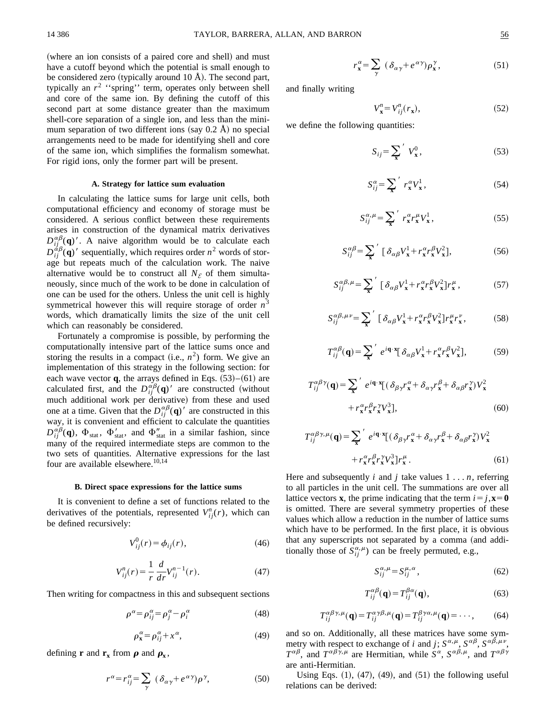(where an ion consists of a paired core and shell) and must have a cutoff beyond which the potential is small enough to be considered zero (typically around 10 Å). The second part, typically an  $r^2$  "spring" term, operates only between shell and core of the same ion. By defining the cutoff of this second part at some distance greater than the maximum shell-core separation of a single ion, and less than the minimum separation of two different ions (say  $0.2 \text{ Å}$ ) no special arrangements need to be made for identifying shell and core of the same ion, which simplifies the formalism somewhat. For rigid ions, only the former part will be present.

#### **A. Strategy for lattice sum evaluation**

In calculating the lattice sums for large unit cells, both computational efficiency and economy of storage must be considered. A serious conflict between these requirements arises in construction of the dynamical matrix derivatives  $D_{ij}^{\alpha\beta}(\mathbf{q})'$ . A naive algorithm would be to calculate each  $D_{ij}^{\dot{\alpha}\beta}(\mathbf{q})'$  sequentially, which requires order  $n^2$  words of storage but repeats much of the calculation work. The naive alternative would be to construct all  $N_{\mathcal{E}}$  of them simultaneously, since much of the work to be done in calculation of one can be used for the others. Unless the unit cell is highly symmetrical however this will require storage of order  $n<sup>3</sup>$ words, which dramatically limits the size of the unit cell which can reasonably be considered.

Fortunately a compromise is possible, by performing the computationally intensive part of the lattice sums once and storing the results in a compact (i.e.,  $n^2$ ) form. We give an implementation of this strategy in the following section: for each wave vector  $q$ , the arrays defined in Eqs.  $(53)–(61)$  are calculated first, and the  $D_{ij}^{\alpha\beta}(\mathbf{q})'$  are constructed (without much additional work per derivative) from these and used one at a time. Given that the  $D_{ij}^{\alpha\beta}(\mathbf{q})'$  are constructed in this way, it is convenient and efficient to calculate the quantities  $D_{ij}^{\alpha\beta}(\mathbf{q})$ ,  $\Phi_{\text{stat}}$ ,  $\Phi'_{\text{stat}}$ , and  $\Phi''_{\text{stat}}$  in a similar fashion, since many of the required intermediate steps are common to the two sets of quantities. Alternative expressions for the last four are available elsewhere.<sup>10,14</sup>

#### **B. Direct space expressions for the lattice sums**

It is convenient to define a set of functions related to the derivatives of the potentials, represented  $V_{ij}^n(r)$ , which can be defined recursively:

$$
V_{ij}^{0}(r) = \phi_{ij}(r),
$$
\n(46)

$$
V_{ij}^{n}(r) = \frac{1}{r} \frac{d}{dr} V_{ij}^{n-1}(r).
$$
 (47)

Then writing for compactness in this and subsequent sections

$$
\rho^{\alpha} = \rho_{ij}^{\alpha} = \rho_j^{\alpha} - \rho_i^{\alpha} \tag{48}
$$

$$
\rho_{\mathbf{x}}^{\alpha} = \rho_{ij}^{\alpha} + x^{\alpha},\tag{49}
$$

defining **r** and  $\mathbf{r}_x$  from  $\rho$  and  $\rho_x$ ,

$$
r^{\alpha} = r_{ij}^{\alpha} = \sum_{\gamma} (\delta_{\alpha\gamma} + e^{\alpha\gamma}) \rho^{\gamma}, \qquad (50)
$$

$$
r_x^{\alpha} = \sum_{\gamma} (\delta_{\alpha\gamma} + e^{\alpha\gamma}) \rho_x^{\gamma}, \qquad (51)
$$

and finally writing

$$
V_{\mathbf{x}}^n = V_{ij}^n(r_{\mathbf{x}}),\tag{52}
$$

we define the following quantities:

$$
S_{ij} = \sum_{\mathbf{x}}' V_{\mathbf{x}}^0,\tag{53}
$$

$$
S_{ij}^{\alpha} = \sum_{\mathbf{x}}^{\prime} r_{\mathbf{x}}^{\alpha} V_{\mathbf{x}}^1, \tag{54}
$$

$$
S_{ij}^{\alpha,\mu} = \sum_{\mathbf{x}}^{\prime} r_{\mathbf{x}}^{\alpha} r_{\mathbf{x}}^{\mu} V_{\mathbf{x}}^{\dagger}, \qquad (55)
$$

$$
S_{ij}^{\alpha\beta} = \sum_{\mathbf{x}}' \left[ \delta_{\alpha\beta} V_{\mathbf{x}}^1 + r_{\mathbf{x}}^{\alpha} r_{\mathbf{x}}^{\beta} V_{\mathbf{x}}^2 \right],\tag{56}
$$

$$
S_{ij}^{\alpha\beta,\mu} = \sum_{\mathbf{x}}' \left[ \delta_{\alpha\beta} V_{\mathbf{x}}^1 + r_{\mathbf{x}}^{\alpha} r_{\mathbf{x}}^{\beta} V_{\mathbf{x}}^2 \right] r_{\mathbf{x}}^{\mu}, \tag{57}
$$

$$
S_{ij}^{\alpha\beta,\mu\nu} = \sum_{\mathbf{x}}' \left[ \delta_{\alpha\beta} V_{\mathbf{x}}^1 + r_{\mathbf{x}}^{\alpha} r_{\mathbf{x}}^{\beta} V_{\mathbf{x}}^2 \right] r_{\mathbf{x}}^{\mu} r_{\mathbf{x}}^{\nu}, \tag{58}
$$

$$
T_{ij}^{\alpha\beta}(\mathbf{q}) = \sum_{\mathbf{x}}' e^{i\mathbf{q}\cdot\mathbf{x}} [\delta_{\alpha\beta} V_{\mathbf{x}}^1 + r_{\mathbf{x}}^{\alpha} r_{\mathbf{x}}^{\beta} V_{\mathbf{x}}^2],
$$
 (59)

$$
T_{ij}^{\alpha\beta\gamma}(\mathbf{q}) = \sum_{\mathbf{x}}' e^{i\mathbf{q}\cdot\mathbf{x}} [(\delta_{\beta\gamma}r_{\mathbf{x}}^{\alpha} + \delta_{\alpha\gamma}r_{\mathbf{x}}^{\beta} + \delta_{\alpha\beta}r_{\mathbf{x}}^{\gamma})V_{\mathbf{x}}^2
$$

$$
+ r_{\mathbf{x}}^{\alpha}r_{\mathbf{x}}^{\beta}r_{\mathbf{x}}^{\gamma}V_{\mathbf{x}}^3],
$$
(60)

$$
T_{ij}^{\alpha\beta\gamma,\mu}(\mathbf{q}) = \sum_{\mathbf{x}}' e^{i\mathbf{q}\cdot\mathbf{x}} [(\delta_{\beta\gamma}r_{\mathbf{x}}^{\alpha} + \delta_{\alpha\gamma}r_{\mathbf{x}}^{\beta} + \delta_{\alpha\beta}r_{\mathbf{x}}^{\gamma})V_{\mathbf{x}}^2
$$

$$
+ r_{\mathbf{x}}^{\alpha}r_{\mathbf{x}}^{\beta}r_{\mathbf{x}}^{\gamma}V_{\mathbf{x}}^3]r_{\mathbf{x}}^{\mu}.
$$
(61)

Here and subsequently *i* and *j* take values 1 . . . *n*, referring to all particles in the unit cell. The summations are over all lattice vectors **x**, the prime indicating that the term  $i = j$ ,  $\mathbf{x} = 0$ is omitted. There are several symmetry properties of these values which allow a reduction in the number of lattice sums which have to be performed. In the first place, it is obvious that any superscripts not separated by a comma (and additionally those of  $S_{ij}^{\alpha,\mu}$ ) can be freely permuted, e.g.,

$$
S_{ij}^{\alpha,\mu} = S_{ij}^{\mu,\alpha},\tag{62}
$$

$$
T_{ij}^{\alpha\beta}(\mathbf{q}) = T_{ij}^{\beta\alpha}(\mathbf{q}),\tag{63}
$$

$$
T_{ij}^{\alpha\beta\gamma,\mu}(\mathbf{q}) = T_{ij}^{\alpha\gamma\beta,\mu}(\mathbf{q}) = T_{ij}^{\beta\gamma\alpha,\mu}(\mathbf{q}) = \cdots,
$$
 (64)

and so on. Additionally, all these matrices have some symmetry with respect to exchange of *i* and *j*;  $S^{\alpha,\mu}$ ,  $S^{\alpha\beta}$ ,  $S^{\alpha\beta,\mu\nu}$ ,  $T^{\alpha\beta}$ , and  $T^{\alpha\beta\gamma,\mu}$  are Hermitian, while  $S^{\alpha}$ ,  $S^{\alpha\beta,\mu}$ , and  $T^{\alpha\beta\gamma}$ are anti-Hermitian.

Using Eqs.  $(1)$ ,  $(47)$ ,  $(49)$ , and  $(51)$  the following useful relations can be derived: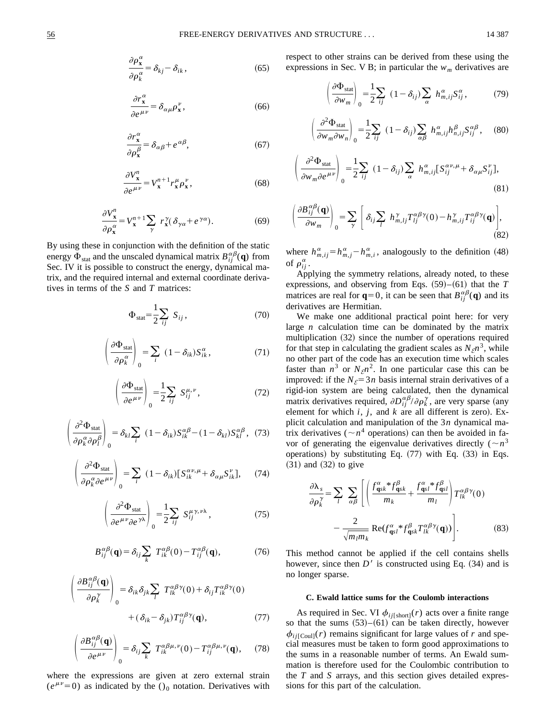$$
\frac{\partial \rho_{\mathbf{x}}^{\alpha}}{\partial \rho_{k}^{\alpha}} = \delta_{kj} - \delta_{ik},\tag{65}
$$

$$
\frac{\partial r_x^{\alpha}}{\partial e^{\mu \nu}} = \delta_{\alpha \mu} \rho_x^{\nu},\tag{66}
$$

$$
\frac{\partial r_x^{\alpha}}{\partial \rho_x^{\beta}} = \delta_{\alpha\beta} + e^{\alpha\beta},\tag{67}
$$

$$
\frac{\partial V_{\mathbf{x}}^n}{\partial e^{\mu \nu}} = V_{\mathbf{x}}^{n+1} r_{\mathbf{x}}^{\mu} \rho_{\mathbf{x}}^{\nu},\tag{68}
$$

$$
\frac{\partial V_x^n}{\partial \rho_x^\alpha} = V_x^{n+1} \sum_\gamma r_x^\gamma (\delta_{\gamma\alpha} + e^{\gamma\alpha}).\tag{69}
$$

By using these in conjunction with the definition of the static energy  $\Phi_{stat}$  and the unscaled dynamical matrix  $B_{ij}^{\alpha\beta}(\mathbf{q})$  from Sec. IV it is possible to construct the energy, dynamical matrix, and the required internal and external coordinate derivatives in terms of the *S* and *T* matrices:

$$
\Phi_{\text{stat}} = \frac{1}{2} \sum_{ij} S_{ij}, \qquad (70)
$$

$$
\left(\frac{\partial \Phi_{\text{stat}}}{\partial \rho_k^{\alpha}}\right)_0 = \sum_i (1 - \delta_{ik}) S_{ik}^{\alpha}, \qquad (71)
$$

$$
\left(\frac{\partial \Phi_{\text{stat}}}{\partial e^{\mu \nu}}\right)_0 = \frac{1}{2} \sum_{ij} S^{\mu, \nu}_{ij},\tag{72}
$$

$$
\left(\frac{\partial^2 \Phi_{\text{stat}}}{\partial \rho_k^{\alpha} \partial \rho_l^{\beta}}\right)_0 = \delta_{kl} \sum_i (1 - \delta_{ik}) S_{ik}^{\alpha \beta} - (1 - \delta_{kl}) S_{kl}^{\alpha \beta}, (73)
$$

$$
\left(\frac{\partial^2 \Phi_{\text{stat}}}{\partial \rho_k^{\alpha} \partial e^{\mu \nu}}\right)_0 = \sum_i (1 - \delta_{ik}) [S_{ik}^{\alpha \nu, \mu} + \delta_{\alpha \mu} S_{ik}^{\nu}], \quad (74)
$$

$$
\left(\frac{\partial^2 \Phi_{\text{stat}}}{\partial e^{\mu\nu}\partial e^{\gamma\lambda}}\right)_0 = \frac{1}{2} \sum_{ij} S_{ij}^{\mu\gamma,\nu\lambda},\tag{75}
$$

$$
B_{ij}^{\alpha\beta}(\mathbf{q}) = \delta_{ij} \sum_{k} T_{ik}^{\alpha\beta}(0) - T_{ij}^{\alpha\beta}(\mathbf{q}), \qquad (76)
$$

$$
\left(\frac{\partial B_{ij}^{\alpha\beta}(\mathbf{q})}{\partial \rho_k^{\gamma}}\right)_0 = \delta_{ik}\delta_{jk}\sum_l T_{lk}^{\alpha\beta\gamma}(0) + \delta_{ij}T_{ik}^{\alpha\beta\gamma}(0) + (\delta_{ik} - \delta_{jk})T_{ij}^{\alpha\beta\gamma}(\mathbf{q}),\tag{77}
$$

$$
\left(\frac{\partial B_{ij}^{\alpha\beta}(\mathbf{q})}{\partial e^{\mu\nu}}\right)_0 = \delta_{ij} \sum_k T_{ik}^{\alpha\beta\mu,\nu}(0) - T_{ij}^{\alpha\beta\mu,\nu}(\mathbf{q}),\qquad(78)
$$

where the expressions are given at zero external strain  $(e^{\mu\nu}=0)$  as indicated by the ()<sub>0</sub> notation. Derivatives with respect to other strains can be derived from these using the expressions in Sec. V B; in particular the  $w_m$  derivatives are

$$
\left(\frac{\partial \Phi_{\text{stat}}}{\partial w_m}\right)_0 = \frac{1}{2} \sum_{ij} (1 - \delta_{ij}) \sum_{\alpha} h_{m,ij}^{\alpha} S_{ij}^{\alpha}, \tag{79}
$$

$$
\left(\frac{\partial^2 \Phi_{\text{stat}}}{\partial w_m \partial w_n}\right)_0 = \frac{1}{2} \sum_{ij} (1 - \delta_{ij}) \sum_{\alpha \beta} h_{m,ij}^{\alpha} h_{n,ij}^{\beta} S_{ij}^{\alpha \beta}, \quad (80)
$$

$$
\left(\frac{\partial^2 \Phi_{\text{stat}}}{\partial w_m \partial e^{\mu \nu}}\right)_0 = \frac{1}{2} \sum_{ij} (1 - \delta_{ij}) \sum_{\alpha} h_{m,ij}^{\alpha} [S_{ij}^{\alpha \nu, \mu} + \delta_{\alpha \mu} S_{ij}^{\nu}],
$$
\n(81)

$$
\left(\frac{\partial B_{ij}^{\alpha\beta}(\mathbf{q})}{\partial w_m}\right)_0 = \sum_{\gamma} \left[ \delta_{ij} \sum_l h_{m,lj}^{\gamma} T_{lj}^{\alpha\beta\gamma}(0) - h_{m,ij}^{\gamma} T_{ij}^{\alpha\beta\gamma}(\mathbf{q}) \right],
$$
\n(82)

where  $h_{m,ij}^{\alpha} = h_{m,j}^{\alpha} - h_{m,i}^{\alpha}$ , analogously to the definition (48) of  $\rho_{ij}^{\alpha}$  .

Applying the symmetry relations, already noted, to these expressions, and observing from Eqs.  $(59)–(61)$  that the *T* matrices are real for  $\mathbf{q} = 0$ , it can be seen that  $B_{ij}^{\alpha\beta}(\mathbf{q})$  and its derivatives are Hermitian.

We make one additional practical point here: for very large *n* calculation time can be dominated by the matrix multiplication  $(32)$  since the number of operations required for that step in calculating the gradient scales as  $N_{\mathcal{E}} n^3$ , while no other part of the code has an execution time which scales faster than  $n^3$  or  $N_{\mathcal{E}} n^2$ . In one particular case this can be improved: if the  $N<sub>E</sub>=3n$  basis internal strain derivatives of a rigid-ion system are being calculated, then the dynamical matrix derivatives required,  $\partial D_{ij}^{\alpha\beta}/\partial \rho_k^{\gamma}$ , are very sparse (any element for which  $i$ ,  $j$ , and  $k$  are all different is zero). Explicit calculation and manipulation of the 3*n* dynamical matrix derivatives ( $\sim n^4$  operations) can then be avoided in favor of generating the eigenvalue derivatives directly  $(\sim n^3)$ operations) by substituting Eq.  $(77)$  with Eq.  $(33)$  in Eqs.  $(31)$  and  $(32)$  to give

$$
\frac{\partial \lambda_s}{\partial \rho_k^{\gamma}} = \sum_l \sum_{\alpha \beta} \left[ \left( \frac{f_{\mathbf{q}sk}^{\alpha} * f_{\mathbf{q}sk}^{\beta}}{m_k} + \frac{f_{\mathbf{q}sl}^{\alpha} * f_{\mathbf{q}sl}^{\beta}}{m_l} \right) T_{lk}^{\alpha \beta \gamma}(0) - \frac{2}{\sqrt{m_l m_k}} \operatorname{Re}(f_{\mathbf{q}sl}^{\alpha} * f_{\mathbf{q}sk}^{\beta} T_{lk}^{\alpha \beta \gamma}(\mathbf{q})) \right].
$$
 (83)

This method cannot be applied if the cell contains shells however, since then  $D'$  is constructed using Eq.  $(34)$  and is no longer sparse.

### **C. Ewald lattice sums for the Coulomb interactions**

As required in Sec. VI  $\phi_{ij[\text{short}]}(r)$  acts over a finite range so that the sums  $(53)-(61)$  can be taken directly, however  $\phi_{ij[Coul]}(r)$  remains significant for large values of *r* and special measures must be taken to form good approximations to the sums in a reasonable number of terms. An Ewald summation is therefore used for the Coulombic contribution to the *T* and *S* arrays, and this section gives detailed expressions for this part of the calculation.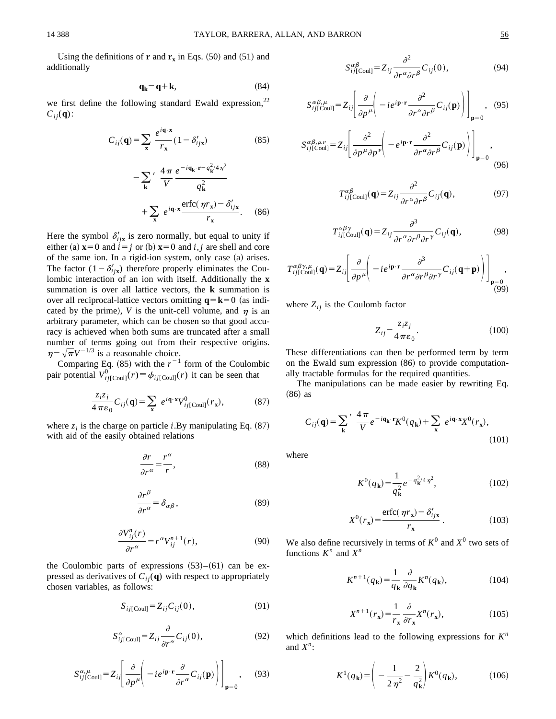$(86)$ 

Using the definitions of **r** and  $\mathbf{r}_x$  in Eqs.  $(50)$  and  $(51)$  and additionally

$$
\mathbf{q}_{\mathbf{k}} = \mathbf{q} + \mathbf{k},\tag{84}
$$

we first define the following standard Ewald expression,<sup>22</sup>  $C_{ij}(\mathbf{q})$ :

$$
C_{ij}(\mathbf{q}) = \sum_{\mathbf{x}} \frac{e^{i\mathbf{q} \cdot \mathbf{x}}}{r_{\mathbf{x}}} (1 - \delta'_{ij\mathbf{x}})
$$
(85)  

$$
= \sum_{\mathbf{k}}' \frac{4\pi}{V} \frac{e^{-i\mathbf{q}_{\mathbf{k}} \cdot \mathbf{r} - q_{\mathbf{k}}^2 / 4\eta^2}}{q_{\mathbf{k}}^2}
$$

$$
+ \sum_{\mathbf{x}} e^{i\mathbf{q} \cdot \mathbf{x}} \frac{\text{erfc}(\eta r_{\mathbf{x}}) - \delta'_{ij\mathbf{x}}}{r_{\mathbf{x}}}. \quad (86)
$$

Here the symbol  $\delta'_{ijk}$  is zero normally, but equal to unity if either (a)  $\mathbf{x} = 0$  and  $i = j$  or (b)  $\mathbf{x} = 0$  and *i*, *j* are shell and core of the same ion. In a rigid-ion system, only case  $(a)$  arises. The factor  $(1-\delta'_{ijk})$  therefore properly eliminates the Coulombic interaction of an ion with itself. Additionally the **x** summation is over all lattice vectors, the **k** summation is over all reciprocal-lattice vectors omitting  $q = k = 0$  (as indicated by the prime), *V* is the unit-cell volume, and  $\eta$  is an arbitrary parameter, which can be chosen so that good accuracy is achieved when both sums are truncated after a small

number of terms going out from their respective origins.  $\eta = \sqrt{\pi}V^{-1/3}$  is a reasonable choice. Comparing Eq.  $(85)$  with the  $r^{-1}$  form of the Coulombic

pair potential  $V_{ij}^0$ [C<sub>oul]</sub>(*r*) =  $\phi_{ij}$ [C<sub>oul]</sub>(*r*) it can be seen that

$$
\frac{z_i z_j}{4 \pi \varepsilon_0} C_{ij}(\mathbf{q}) = \sum_{\mathbf{x}} e^{i\mathbf{q} \cdot \mathbf{x}} V^0_{ij[\text{Coul}]}(r_{\mathbf{x}}),
$$
(87)

where  $z_i$  is the charge on particle *i*.By manipulating Eq.  $(87)$ with aid of the easily obtained relations

$$
\frac{\partial r}{\partial r^{\alpha}} = \frac{r^{\alpha}}{r},\tag{88}
$$

$$
\frac{\partial r^{\beta}}{\partial r^{\alpha}} = \delta_{\alpha\beta},\tag{89}
$$

$$
\frac{\partial V_{ij}^n(r)}{\partial r^\alpha} = r^\alpha V_{ij}^{n+1}(r),\tag{90}
$$

the Coulombic parts of expressions  $(53)–(61)$  can be expressed as derivatives of  $C_{ii}(\mathbf{q})$  with respect to appropriately chosen variables, as follows:

$$
S_{ij[\text{Coul}]} = Z_{ij} C_{ij}(0),\tag{91}
$$

$$
S_{ij[\text{Coul}]}^{\alpha} = Z_{ij} \frac{\partial}{\partial r^{\alpha}} C_{ij}(0), \qquad (92)
$$

$$
S^{\alpha,\mu}_{ij\text{[Coul]}} = Z_{ij} \left[ \frac{\partial}{\partial p^{\mu}} \left( -ie^{i\mathbf{p}\cdot\mathbf{r}} \frac{\partial}{\partial r^{\alpha}} C_{ij}(\mathbf{p}) \right) \right]_{\mathbf{p}=0}, \quad (93)
$$

$$
S_{ij\text{[Coul]}}^{\alpha\beta} = Z_{ij} \frac{\partial^2}{\partial r^\alpha \partial r^\beta} C_{ij}(0), \tag{94}
$$

$$
S_{ij\text{[Coul]}}^{\alpha\beta,\mu} = Z_{ij} \left[ \frac{\partial}{\partial p^{\mu}} \left( -ie^{i\mathbf{p}\cdot\mathbf{r}} \frac{\partial^2}{\partial r^{\alpha} \partial r^{\beta}} C_{ij}(\mathbf{p}) \right) \right]_{\mathbf{p}=0}, \quad (95)
$$

$$
S_{ij\text{[Coul]}}^{\alpha\beta,\mu\nu} = Z_{ij} \left[ \frac{\partial^2}{\partial p^\mu \partial p^\nu} \left( -e^{i\mathbf{p}\cdot\mathbf{r}} \frac{\partial^2}{\partial r^\alpha \partial r^\beta} C_{ij}(\mathbf{p}) \right) \right]_{\mathbf{p}=0},\tag{96}
$$

$$
T_{ij[Coul]}^{\alpha\beta}(\mathbf{q}) = Z_{ij} \frac{\partial^2}{\partial r^{\alpha} \partial r^{\beta}} C_{ij}(\mathbf{q}), \qquad (97)
$$

$$
T_{ij[\text{Coul}]}^{\alpha\beta\gamma}(\mathbf{q}) = Z_{ij} \frac{\partial^3}{\partial r^\alpha \partial r^\beta \partial r^\gamma} C_{ij}(\mathbf{q}),
$$
(98)

$$
T_{ij[\text{Coul}]}^{\alpha\beta\gamma,\mu}(\mathbf{q}) = Z_{ij} \left[ \frac{\partial}{\partial p^{\mu}} \left( -ie^{i\mathbf{p}\cdot\mathbf{r}} \frac{\partial^3}{\partial r^{\alpha}\partial r^{\beta}\partial r^{\gamma}} C_{ij}(\mathbf{q}+\mathbf{p}) \right) \right]_{\mathbf{p}=0} ,
$$
\n(99)

where  $Z_{ii}$  is the Coulomb factor

$$
Z_{ij} = \frac{z_i z_j}{4 \pi \varepsilon_0}.
$$
\n<sup>(100)</sup>

These differentiations can then be performed term by term on the Ewald sum expression  $(86)$  to provide computationally tractable formulas for the required quantities.

The manipulations can be made easier by rewriting Eq.  $(86)$  as

$$
C_{ij}(\mathbf{q}) = \sum_{\mathbf{k}}' \frac{4\pi}{V} e^{-i\mathbf{q}_{\mathbf{k}} \cdot \mathbf{r}} K^{0}(q_{\mathbf{k}}) + \sum_{\mathbf{x}} e^{i\mathbf{q} \cdot \mathbf{x}} X^{0}(r_{\mathbf{x}}),
$$
\n(101)

where

$$
K^{0}(q_{\mathbf{k}}) = \frac{1}{q_{\mathbf{k}}^{2}} e^{-q_{\mathbf{k}}^{2}/4\eta^{2}},
$$
 (102)

$$
X^{0}(r_{x}) = \frac{\text{erfc}(\eta r_{x}) - \delta'_{ijx}}{r_{x}}.
$$
 (103)

We also define recursively in terms of  $K^0$  and  $X^0$  two sets of functions  $K^n$  and  $X^n$ 

$$
K^{n+1}(q_{\mathbf{k}}) = \frac{1}{q_{\mathbf{k}}} \frac{\partial}{\partial q_{\mathbf{k}}} K^{n}(q_{\mathbf{k}}),
$$
 (104)

$$
X^{n+1}(r_{\mathbf{x}}) = \frac{1}{r_{\mathbf{x}}} \frac{\partial}{\partial r_{\mathbf{x}}} X^n(r_{\mathbf{x}}),\tag{105}
$$

which definitions lead to the following expressions for *K<sup>n</sup>* and  $X^n$ :

$$
K^{1}(q_{k}) = \left(-\frac{1}{2\eta^{2}} - \frac{2}{q_{k}^{2}}\right) K^{0}(q_{k}),
$$
 (106)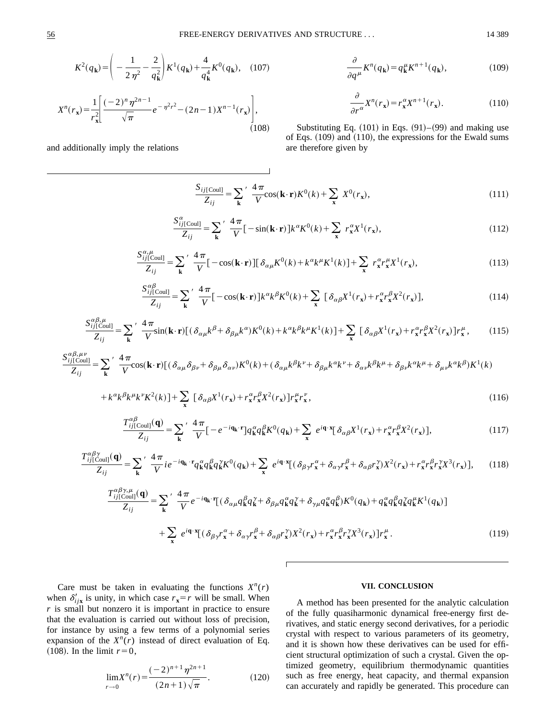$(108)$ 

$$
K^{2}(q_{\mathbf{k}}) = \left(-\frac{1}{2\eta^{2}} - \frac{2}{q_{\mathbf{k}}^{2}}\right) K^{1}(q_{\mathbf{k}}) + \frac{4}{q_{\mathbf{k}}^{4}} K^{0}(q_{\mathbf{k}}), \quad (107)
$$

$$
X^{n}(r_{\mathbf{x}}) = \frac{1}{r_{\mathbf{x}}^{2}} \left[\frac{(-2)^{n} \eta^{2n-1}}{\sqrt{\pi}} e^{-\eta^{2} r^{2}} - (2n - 1) X^{n-1}(r_{\mathbf{x}})\right],
$$

and additionally imply the relations

 $\frac{\partial}{\partial q^{\mu}} K^{n}(q_{k}) = q_{k}^{\mu} K^{n+1}(q_{k}),$  (109)

$$
\frac{\partial}{\partial r^{\alpha}} X^n(r_x) = r_x^{\alpha} X^{n+1}(r_x). \tag{110}
$$

Substituting Eq.  $(101)$  in Eqs.  $(91)–(99)$  and making use of Eqs.  $(109)$  and  $(110)$ , the expressions for the Ewald sums are therefore given by

$$
\frac{S_{ij[{\text{Coul}}}}{Z_{ij}} = \sum_{\mathbf{k}}' \frac{4\pi}{V} \cos(\mathbf{k} \cdot \mathbf{r}) K^0(k) + \sum_{\mathbf{x}} X^0(r_{\mathbf{x}}),
$$
\n(111)

$$
\frac{S_{ij[\text{Coul}]}^{\alpha}}{Z_{ij}} = \sum_{\mathbf{k}} \frac{4\pi}{V} \left[ -\sin(\mathbf{k} \cdot \mathbf{r}) \right] k^{\alpha} K^{0}(k) + \sum_{\mathbf{x}} r_{\mathbf{x}}^{\alpha} X^{1}(r_{\mathbf{x}}), \tag{112}
$$

$$
\frac{S_{ij[Coul]}^{\alpha,\mu}}{Z_{ij}} = \sum_{\mathbf{k}}' \frac{4\pi}{V} \left[ -\cos(\mathbf{k}\cdot\mathbf{r}) \right] \left[ \delta_{\alpha\mu} K^{0}(k) + k^{\alpha} k^{\mu} K^{1}(k) \right] + \sum_{\mathbf{x}} r_{\mathbf{x}}^{\alpha} r_{\mathbf{x}}^{\mu} X^{1}(r_{\mathbf{x}}), \tag{113}
$$

$$
\frac{S_{ij\text{[Coul]}}^{\alpha\beta}}{Z_{ij}} = \sum_{\mathbf{k}} \frac{4\,\pi}{V} \left[ -\cos(\mathbf{k}\cdot\mathbf{r}) \right] k^{\alpha} k^{\beta} K^{0}(k) + \sum_{\mathbf{x}} \left[ \delta_{\alpha\beta} X^{1}(r_{\mathbf{x}}) + r_{\mathbf{x}}^{\alpha} r_{\mathbf{x}}^{\beta} X^{2}(r_{\mathbf{x}}) \right],\tag{114}
$$

$$
\frac{S_{ij[Coul]}^{\alpha\beta,\mu}}{Z_{ij}} = \sum_{\mathbf{k}} \frac{4\pi}{V} \sin(\mathbf{k} \cdot \mathbf{r}) \left[ (\delta_{\alpha\mu} k^{\beta} + \delta_{\beta\mu} k^{\alpha}) K^{0}(k) + k^{\alpha} k^{\beta} k^{\mu} K^{1}(k) \right] + \sum_{\mathbf{x}} \left[ \delta_{\alpha\beta} X^{1}(r_{\mathbf{x}}) + r^{\alpha}_{\mathbf{x}} r^{\beta}_{\mathbf{x}} X^{2}(r_{\mathbf{x}}) \right] r^{\mu}_{\mathbf{x}}, \tag{115}
$$

$$
\frac{S_{ij}^{\alpha\beta,\mu\nu}}{Z_{ij}} = \sum_{\mathbf{k}} \frac{4\pi}{V} \cos(\mathbf{k}\cdot\mathbf{r}) \left[ (\delta_{\alpha\mu}\delta_{\beta\nu} + \delta_{\beta\mu}\delta_{\alpha\nu}) K^{0}(k) + (\delta_{\alpha\mu}k^{\beta}k^{\nu} + \delta_{\beta\mu}k^{\alpha}k^{\nu} + \delta_{\alpha\nu}k^{\beta}k^{\mu} + \delta_{\beta\nu}k^{\alpha}k^{\mu} + \delta_{\mu\nu}k^{\alpha}k^{\beta}\right) K^{1}(k)
$$

$$
+k^{\alpha}k^{\beta}k^{\mu}k^{\nu}K^{2}(k)]+\sum_{\mathbf{x}}\left[\delta_{\alpha\beta}X^{1}(r_{\mathbf{x}})+r_{\mathbf{x}}^{\alpha}r_{\mathbf{x}}^{\beta}X^{2}(r_{\mathbf{x}})\right]r_{\mathbf{x}}^{\mu}r_{\mathbf{x}}^{\nu},\tag{116}
$$

$$
\frac{T_{ij[\text{Coul}]}^{\alpha\beta}(q)}{Z_{ij}} = \sum_{\mathbf{k}} \frac{4\,\pi}{V} \left[ -e^{-i\mathbf{q}_{\mathbf{k}} \cdot \mathbf{r}} \right] q_{\mathbf{k}}^{\alpha} q_{\mathbf{k}}^{\beta} K^{0}(q_{\mathbf{k}}) + \sum_{\mathbf{x}} e^{i\mathbf{q} \cdot \mathbf{x}} \left[ \delta_{\alpha\beta} X^{1}(r_{\mathbf{x}}) + r_{\mathbf{x}}^{\alpha} r_{\mathbf{x}}^{\beta} X^{2}(r_{\mathbf{x}}) \right],\tag{117}
$$

$$
\frac{T_{ij[\text{Coul}]}^{\alpha\beta\gamma}}{Z_{ij}} = \sum_{\mathbf{k}} \frac{4\pi}{V} i e^{-i\mathbf{q}_{\mathbf{k}} \cdot \mathbf{r}} q_{\mathbf{k}}^{\alpha} q_{\mathbf{k}}^{\beta} q_{\mathbf{k}}^{\gamma} K^{0}(q_{\mathbf{k}}) + \sum_{\mathbf{x}} e^{i\mathbf{q} \cdot \mathbf{x}} [(\delta_{\beta\gamma} r_{\mathbf{x}}^{\alpha} + \delta_{\alpha\gamma} r_{\mathbf{x}}^{\beta} + \delta_{\alpha\beta} r_{\mathbf{x}}^{\gamma}) X^{2}(r_{\mathbf{x}}) + r_{\mathbf{x}}^{\alpha} r_{\mathbf{x}}^{\beta} r_{\mathbf{x}}^{\gamma} X^{3}(r_{\mathbf{x}})], \quad (118)
$$

ſ

$$
\frac{T_{ij[\text{Coul}]}^{\alpha\beta\gamma,\mu}(\mathbf{q})}{Z_{ij}} = \sum_{\mathbf{k}}' \frac{4\pi}{V} e^{-i\mathbf{q}_{\mathbf{k}} \cdot \mathbf{r}} \left[ (\delta_{\alpha\mu} q_{\mathbf{k}}^{\beta} q_{\mathbf{k}}^{\gamma} + \delta_{\beta\mu} q_{\mathbf{k}}^{\alpha} q_{\mathbf{k}}^{\gamma} + \delta_{\gamma\mu} q_{\mathbf{k}}^{\alpha} q_{\mathbf{k}}^{\beta}) K^{0}(q_{\mathbf{k}}) + q_{\mathbf{k}}^{\alpha} q_{\mathbf{k}}^{\beta} q_{\mathbf{k}}^{\gamma} q_{\mathbf{k}}^{\mu} K^{1}(q_{\mathbf{k}}) \right]
$$

$$
+ \sum_{\mathbf{x}} e^{i\mathbf{q} \cdot \mathbf{x}} \left[ (\delta_{\beta\gamma} r_{\mathbf{x}}^{\alpha} + \delta_{\alpha\gamma} r_{\mathbf{x}}^{\beta} + \delta_{\alpha\beta} r_{\mathbf{x}}^{\gamma}) X^{2}(r_{\mathbf{x}}) + r_{\mathbf{x}}^{\alpha} r_{\mathbf{x}}^{\beta} r_{\mathbf{x}}^{\gamma} X^{3}(r_{\mathbf{x}}) \right] r_{\mathbf{x}}^{\mu}. \tag{119}
$$

Care must be taken in evaluating the functions  $X^n(r)$ when  $\delta'_{ijk}$  is unity, in which case  $r_x = r$  will be small. When *r* is small but nonzero it is important in practice to ensure that the evaluation is carried out without loss of precision, for instance by using a few terms of a polynomial series expansion of the  $X^n(r)$  instead of direct evaluation of Eq.  $(108)$ . In the limit  $r=0$ ,

$$
\lim_{r \to 0} X^n(r) = \frac{(-2)^{n+1} \eta^{2n+1}}{(2n+1)\sqrt{\pi}}.
$$
 (120)

### **VII. CONCLUSION**

A method has been presented for the analytic calculation of the fully quasiharmonic dynamical free-energy first derivatives, and static energy second derivatives, for a periodic crystal with respect to various parameters of its geometry, and it is shown how these derivatives can be used for efficient structural optimization of such a crystal. Given the optimized geometry, equilibrium thermodynamic quantities such as free energy, heat capacity, and thermal expansion can accurately and rapidly be generated. This procedure can